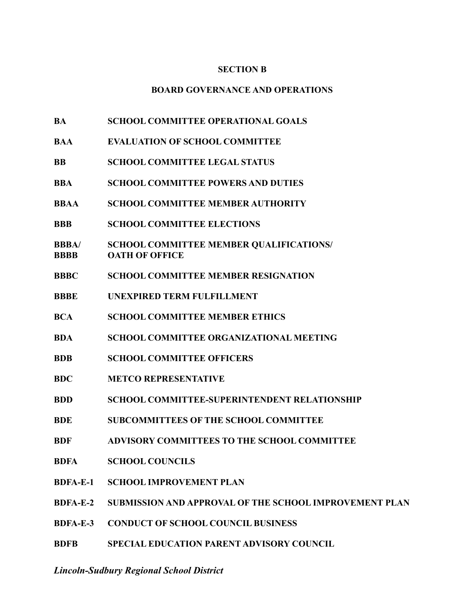### **SECTION B**

### **BOARD GOVERNANCE AND OPERATIONS**

- **BA SCHOOL COMMITTEE OPERATIONAL GOALS**
- **BAA EVALUATION OF SCHOOL COMMITTEE**
- **BB SCHOOL COMMITTEE LEGAL STATUS**
- **BBA SCHOOL COMMITTEE POWERS AND DUTIES**
- **BBAA SCHOOL COMMITTEE MEMBER AUTHORITY**
- **BBB SCHOOL COMMITTEE ELECTIONS**
- **BBBA/ SCHOOL COMMITTEE MEMBER QUALIFICATIONS/ BBBB OATH OF OFFICE**
- **BBBC SCHOOL COMMITTEE MEMBER RESIGNATION**
- **BBBE UNEXPIRED TERM FULFILLMENT**
- **BCA SCHOOL COMMITTEE MEMBER ETHICS**
- **BDA SCHOOL COMMITTEE ORGANIZATIONAL MEETING**
- **BDB SCHOOL COMMITTEE OFFICERS**
- **BDC METCO REPRESENTATIVE**
- **BDD SCHOOL COMMITTEE-SUPERINTENDENT RELATIONSHIP**
- **BDE SUBCOMMITTEES OF THE SCHOOL COMMITTEE**
- **BDF ADVISORY COMMITTEES TO THE SCHOOL COMMITTEE**
- **BDFA SCHOOL COUNCILS**
- **BDFA-E-1 SCHOOL IMPROVEMENT PLAN**
- **BDFA-E-2 SUBMISSION AND APPROVAL OF THE SCHOOL IMPROVEMENT PLAN**
- **BDFA-E-3 CONDUCT OF SCHOOL COUNCIL BUSINESS**
- **BDFB SPECIAL EDUCATION PARENT ADVISORY COUNCIL**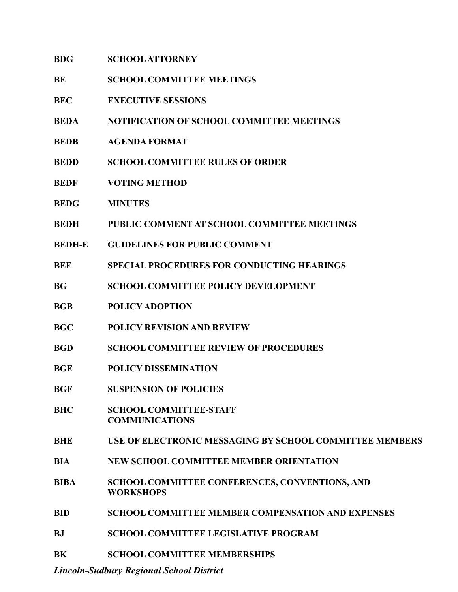| <b>BDG</b> | <b>SCHOOL ATTORNEY</b> |
|------------|------------------------|
|------------|------------------------|

- **BE SCHOOL COMMITTEE MEETINGS**
- **BEC EXECUTIVE SESSIONS**
- **BEDA NOTIFICATION OF SCHOOL COMMITTEE MEETINGS**
- **BEDB AGENDA FORMAT**
- **BEDD SCHOOL COMMITTEE RULES OF ORDER**
- **BEDF VOTING METHOD**
- **BEDG MINUTES**
- **BEDH PUBLIC COMMENT AT SCHOOL COMMITTEE MEETINGS**
- **BEDH-E GUIDELINES FOR PUBLIC COMMENT**
- **BEE SPECIAL PROCEDURES FOR CONDUCTING HEARINGS**
- **BG SCHOOL COMMITTEE POLICY DEVELOPMENT**
- **BGB POLICY ADOPTION**
- **BGC POLICY REVISION AND REVIEW**
- **BGD SCHOOL COMMITTEE REVIEW OF PROCEDURES**
- **BGE POLICY DISSEMINATION**
- **BGF SUSPENSION OF POLICIES**
- **BHC SCHOOL COMMITTEE-STAFF COMMUNICATIONS**
- **BHE USE OF ELECTRONIC MESSAGING BY SCHOOL COMMITTEE MEMBERS**
- **BIA NEW SCHOOL COMMITTEE MEMBER ORIENTATION**
- **BIBA SCHOOL COMMITTEE CONFERENCES, CONVENTIONS, AND WORKSHOPS**
- **BID SCHOOL COMMITTEE MEMBER COMPENSATION AND EXPENSES**
- **BJ SCHOOL COMMITTEE LEGISLATIVE PROGRAM**
- **BK SCHOOL COMMITTEE MEMBERSHIPS**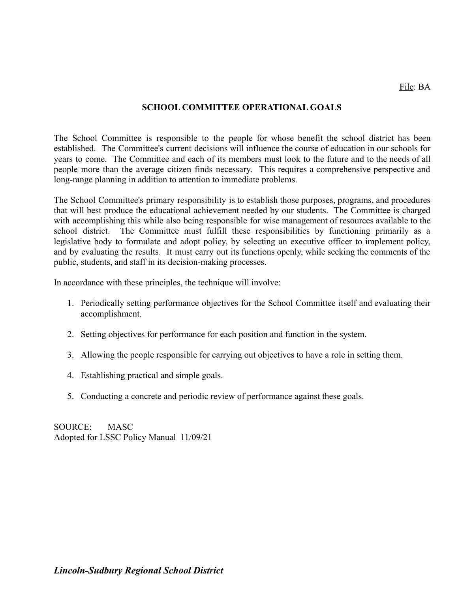## **SCHOOL COMMITTEE OPERATIONAL GOALS**

The School Committee is responsible to the people for whose benefit the school district has been established. The Committee's current decisions will influence the course of education in our schools for years to come. The Committee and each of its members must look to the future and to the needs of all people more than the average citizen finds necessary. This requires a comprehensive perspective and long-range planning in addition to attention to immediate problems.

The School Committee's primary responsibility is to establish those purposes, programs, and procedures that will best produce the educational achievement needed by our students. The Committee is charged with accomplishing this while also being responsible for wise management of resources available to the school district. The Committee must fulfill these responsibilities by functioning primarily as a legislative body to formulate and adopt policy, by selecting an executive officer to implement policy, and by evaluating the results. It must carry out its functions openly, while seeking the comments of the public, students, and staff in its decision-making processes.

In accordance with these principles, the technique will involve:

- 1. Periodically setting performance objectives for the School Committee itself and evaluating their accomplishment.
- 2. Setting objectives for performance for each position and function in the system.
- 3. Allowing the people responsible for carrying out objectives to have a role in setting them.
- 4. Establishing practical and simple goals.
- 5. Conducting a concrete and periodic review of performance against these goals.

SOURCE: MASC Adopted for LSSC Policy Manual 11/09/21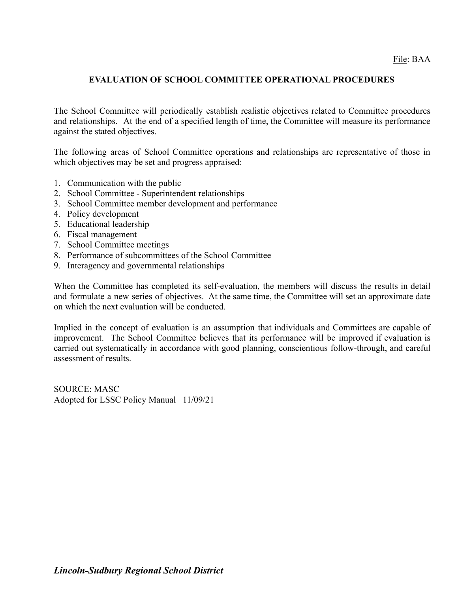## **EVALUATION OF SCHOOL COMMITTEE OPERATIONAL PROCEDURES**

The School Committee will periodically establish realistic objectives related to Committee procedures and relationships. At the end of a specified length of time, the Committee will measure its performance against the stated objectives.

The following areas of School Committee operations and relationships are representative of those in which objectives may be set and progress appraised:

- 1. Communication with the public
- 2. School Committee Superintendent relationships
- 3. School Committee member development and performance
- 4. Policy development
- 5. Educational leadership
- 6. Fiscal management
- 7. School Committee meetings
- 8. Performance of subcommittees of the School Committee
- 9. Interagency and governmental relationships

When the Committee has completed its self-evaluation, the members will discuss the results in detail and formulate a new series of objectives. At the same time, the Committee will set an approximate date on which the next evaluation will be conducted.

Implied in the concept of evaluation is an assumption that individuals and Committees are capable of improvement. The School Committee believes that its performance will be improved if evaluation is carried out systematically in accordance with good planning, conscientious follow-through, and careful assessment of results.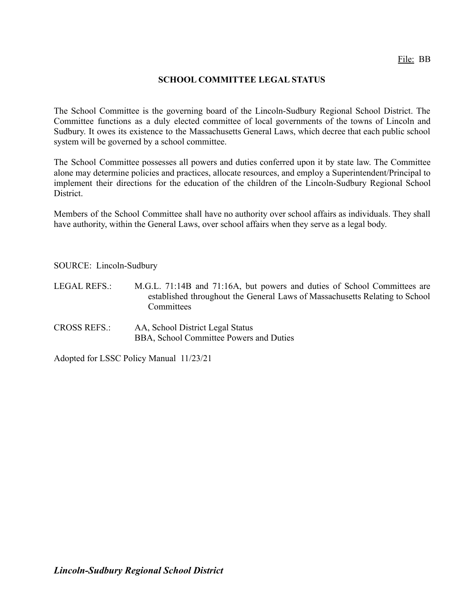## **SCHOOL COMMITTEE LEGAL STATUS**

The School Committee is the governing board of the Lincoln-Sudbury Regional School District. The Committee functions as a duly elected committee of local governments of the towns of Lincoln and Sudbury. It owes its existence to the Massachusetts General Laws, which decree that each public school system will be governed by a school committee.

The School Committee possesses all powers and duties conferred upon it by state law. The Committee alone may determine policies and practices, allocate resources, and employ a Superintendent/Principal to implement their directions for the education of the children of the Lincoln-Sudbury Regional School District.

Members of the School Committee shall have no authority over school affairs as individuals. They shall have authority, within the General Laws, over school affairs when they serve as a legal body.

SOURCE: Lincoln-Sudbury

- LEGAL REFS.: M.G.L. 71:14B and 71:16A, but powers and duties of School Committees are established throughout the General Laws of Massachusetts Relating to School **Committees**
- CROSS REFS.: AA, School District Legal Status BBA, School Committee Powers and Duties

Adopted for LSSC Policy Manual 11/23/21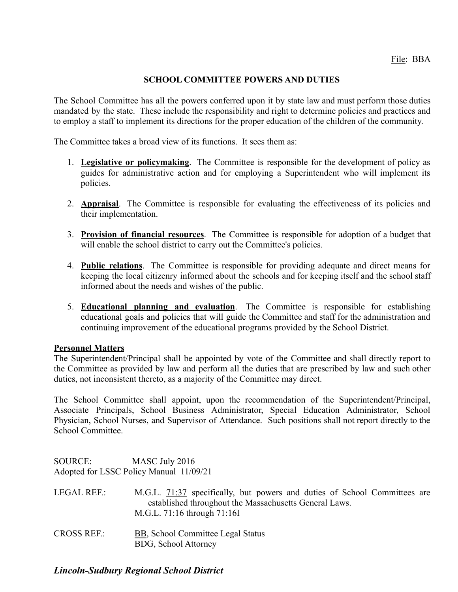## **SCHOOL COMMITTEE POWERS AND DUTIES**

The School Committee has all the powers conferred upon it by state law and must perform those duties mandated by the state. These include the responsibility and right to determine policies and practices and to employ a staff to implement its directions for the proper education of the children of the community.

The Committee takes a broad view of its functions. It sees them as:

- 1. **Legislative or policymaking**. The Committee is responsible for the development of policy as guides for administrative action and for employing a Superintendent who will implement its policies.
- 2. **Appraisal**. The Committee is responsible for evaluating the effectiveness of its policies and their implementation.
- 3. **Provision of financial resources**. The Committee is responsible for adoption of a budget that will enable the school district to carry out the Committee's policies.
- 4. **Public relations**. The Committee is responsible for providing adequate and direct means for keeping the local citizenry informed about the schools and for keeping itself and the school staff informed about the needs and wishes of the public.
- 5. **Educational planning and evaluation**. The Committee is responsible for establishing educational goals and policies that will guide the Committee and staff for the administration and continuing improvement of the educational programs provided by the School District.

### **Personnel Matters**

The Superintendent/Principal shall be appointed by vote of the Committee and shall directly report to the Committee as provided by law and perform all the duties that are prescribed by law and such other duties, not inconsistent thereto, as a majority of the Committee may direct.

The School Committee shall appoint, upon the recommendation of the Superintendent/Principal, Associate Principals, School Business Administrator, Special Education Administrator, School Physician, School Nurses, and Supervisor of Attendance. Such positions shall not report directly to the School Committee.

SOURCE: MASC July 2016 Adopted for LSSC Policy Manual 11/09/21

- LEGAL REF.: M.G.L. [71:37](http://www.malegislature.gov/Laws/GeneralLaws/PartI/TitleXII/Chapter71/Section37) specifically, but powers and duties of School Committees are established throughout the Massachusetts General Laws. M.G.L. 71:16 through 71:16I
- CROSS REF.: [BB](http://z2policy.ctspublish.com/masc/DocViewer.jsp?docid=18&z2collection=master#JD_BB), School Committee Legal Status BDG, School Attorney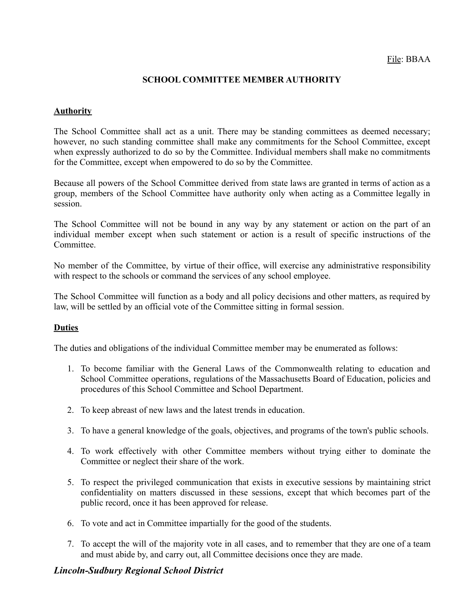## **SCHOOL COMMITTEE MEMBER AUTHORITY**

### **Authority**

The School Committee shall act as a unit. There may be standing committees as deemed necessary; however, no such standing committee shall make any commitments for the School Committee, except when expressly authorized to do so by the Committee. Individual members shall make no commitments for the Committee, except when empowered to do so by the Committee.

Because all powers of the School Committee derived from state laws are granted in terms of action as a group, members of the School Committee have authority only when acting as a Committee legally in session.

The School Committee will not be bound in any way by any statement or action on the part of an individual member except when such statement or action is a result of specific instructions of the **Committee** 

No member of the Committee, by virtue of their office, will exercise any administrative responsibility with respect to the schools or command the services of any school employee.

The School Committee will function as a body and all policy decisions and other matters, as required by law, will be settled by an official vote of the Committee sitting in formal session.

### **Duties**

The duties and obligations of the individual Committee member may be enumerated as follows:

- 1. To become familiar with the General Laws of the Commonwealth relating to education and School Committee operations, regulations of the Massachusetts Board of Education, policies and procedures of this School Committee and School Department.
- 2. To keep abreast of new laws and the latest trends in education.
- 3. To have a general knowledge of the goals, objectives, and programs of the town's public schools.
- 4. To work effectively with other Committee members without trying either to dominate the Committee or neglect their share of the work.
- 5. To respect the privileged communication that exists in executive sessions by maintaining strict confidentiality on matters discussed in these sessions, except that which becomes part of the public record, once it has been approved for release.
- 6. To vote and act in Committee impartially for the good of the students.
- 7. To accept the will of the majority vote in all cases, and to remember that they are one of a team and must abide by, and carry out, all Committee decisions once they are made.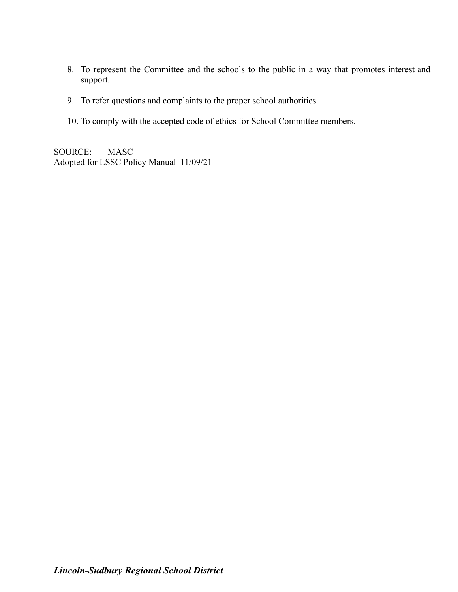- 8. To represent the Committee and the schools to the public in a way that promotes interest and support.
- 9. To refer questions and complaints to the proper school authorities.
- 10. To comply with the accepted code of ethics for School Committee members.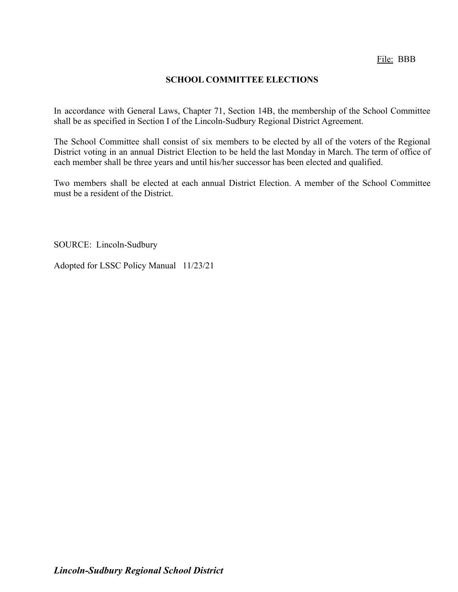## **SCHOOL COMMITTEE ELECTIONS**

In accordance with General Laws, Chapter 71, Section 14B, the membership of the School Committee shall be as specified in Section I of the Lincoln-Sudbury Regional District Agreement.

The School Committee shall consist of six members to be elected by all of the voters of the Regional District voting in an annual District Election to be held the last Monday in March. The term of office of each member shall be three years and until his/her successor has been elected and qualified.

Two members shall be elected at each annual District Election. A member of the School Committee must be a resident of the District.

SOURCE: Lincoln-Sudbury

Adopted for LSSC Policy Manual 11/23/21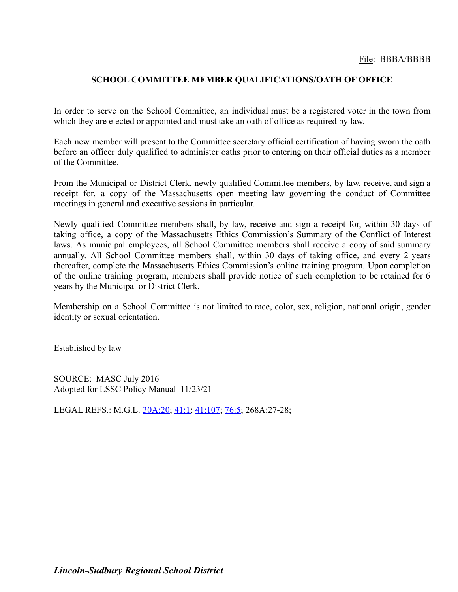### **SCHOOL COMMITTEE MEMBER QUALIFICATIONS/OATH OF OFFICE**

In order to serve on the School Committee, an individual must be a registered voter in the town from which they are elected or appointed and must take an oath of office as required by law.

Each new member will present to the Committee secretary official certification of having sworn the oath before an officer duly qualified to administer oaths prior to entering on their official duties as a member of the Committee.

From the Municipal or District Clerk, newly qualified Committee members, by law, receive, and sign a receipt for, a copy of the Massachusetts open meeting law governing the conduct of Committee meetings in general and executive sessions in particular.

Newly qualified Committee members shall, by law, receive and sign a receipt for, within 30 days of taking office, a copy of the Massachusetts Ethics Commission's Summary of the Conflict of Interest laws. As municipal employees, all School Committee members shall receive a copy of said summary annually. All School Committee members shall, within 30 days of taking office, and every 2 years thereafter, complete the Massachusetts Ethics Commission's online training program. Upon completion of the online training program, members shall provide notice of such completion to be retained for 6 years by the Municipal or District Clerk.

Membership on a School Committee is not limited to race, color, sex, religion, national origin, gender identity or sexual orientation.

Established by law

SOURCE: MASC July 2016 Adopted for LSSC Policy Manual 11/23/21

LEGAL REFS.: M.G.L. [30A:20](http://www.malegislature.gov/Laws/GeneralLaws/PartI/TitleIII/Chapter30A/Section20); [41:1;](http://www.malegislature.gov/Laws/GeneralLaws/PartI/TitleXII/Chapter41/Section1) [41:107](http://www.malegislature.gov/Laws/GeneralLaws/PartI/TitleXII/Chapter41/Section107); [76:5](http://www.malegislature.gov/Laws/GeneralLaws/PartI/TitleXII/Chapter76/Section5); 268A:27-28;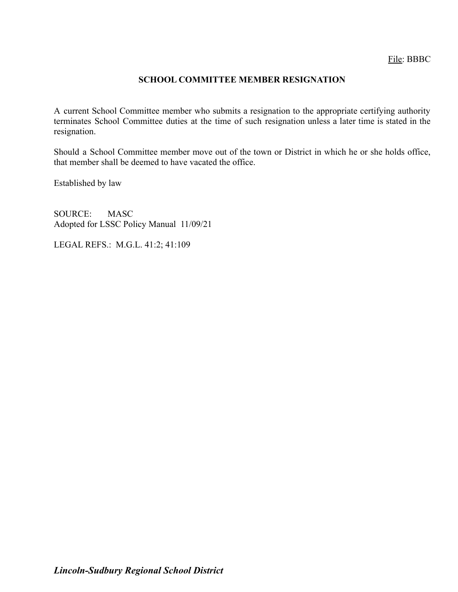## **SCHOOL COMMITTEE MEMBER RESIGNATION**

A current School Committee member who submits a resignation to the appropriate certifying authority terminates School Committee duties at the time of such resignation unless a later time is stated in the resignation.

Should a School Committee member move out of the town or District in which he or she holds office, that member shall be deemed to have vacated the office.

Established by law

SOURCE: MASC Adopted for LSSC Policy Manual 11/09/21

LEGAL REFS.: M.G.L. 41:2; 41:109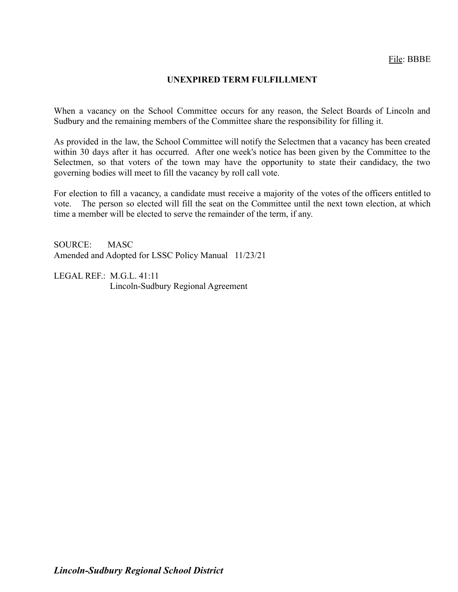## **UNEXPIRED TERM FULFILLMENT**

When a vacancy on the School Committee occurs for any reason, the Select Boards of Lincoln and Sudbury and the remaining members of the Committee share the responsibility for filling it.

As provided in the law, the School Committee will notify the Selectmen that a vacancy has been created within 30 days after it has occurred. After one week's notice has been given by the Committee to the Selectmen, so that voters of the town may have the opportunity to state their candidacy, the two governing bodies will meet to fill the vacancy by roll call vote.

For election to fill a vacancy, a candidate must receive a majority of the votes of the officers entitled to vote. The person so elected will fill the seat on the Committee until the next town election, at which time a member will be elected to serve the remainder of the term, if any.

SOURCE: MASC Amended and Adopted for LSSC Policy Manual 11/23/21

LEGAL REF.: M.G.L. 41:11 Lincoln-Sudbury Regional Agreement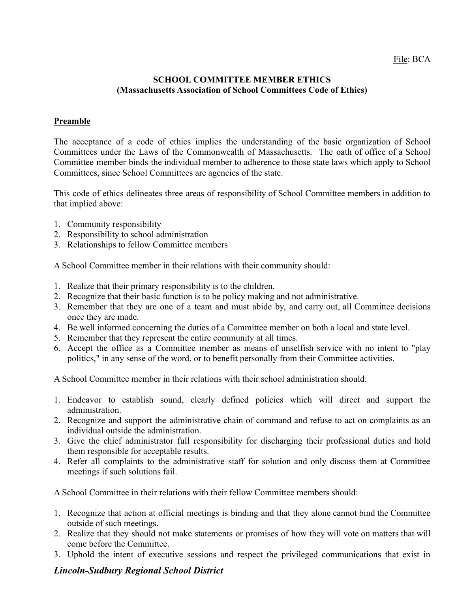### **SCHOOL COMMITTEE MEMBER ETHICS (Massachusetts Association of School Committees Code of Ethics)**

## **Preamble**

The acceptance of a code of ethics implies the understanding of the basic organization of School Committees under the Laws of the Commonwealth of Massachusetts. The oath of office of a School Committee member binds the individual member to adherence to those state laws which apply to School Committees, since School Committees are agencies of the state.

This code of ethics delineates three areas of responsibility of School Committee members in addition to that implied above:

- 1. Community responsibility
- 2. Responsibility to school administration
- 3. Relationships to fellow Committee members

A School Committee member in their relations with their community should:

- 1. Realize that their primary responsibility is to the children.
- 2. Recognize that their basic function is to be policy making and not administrative.
- 3. Remember that they are one of a team and must abide by, and carry out, all Committee decisions once they are made.
- 4. Be well informed concerning the duties of a Committee member on both a local and state level.
- 5. Remember that they represent the entire community at all times.
- 6. Accept the office as a Committee member as means of unselfish service with no intent to "play politics," in any sense of the word, or to benefit personally from their Committee activities.

A School Committee member in their relations with their school administration should:

- 1. Endeavor to establish sound, clearly defined policies which will direct and support the administration.
- 2. Recognize and support the administrative chain of command and refuse to act on complaints as an individual outside the administration.
- 3. Give the chief administrator full responsibility for discharging their professional duties and hold them responsible for acceptable results.
- 4. Refer all complaints to the administrative staff for solution and only discuss them at Committee meetings if such solutions fail.

A School Committee in their relations with their fellow Committee members should:

- 1. Recognize that action at official meetings is binding and that they alone cannot bind the Committee outside of such meetings.
- 2. Realize that they should not make statements or promises of how they will vote on matters that will come before the Committee.
- 3. Uphold the intent of executive sessions and respect the privileged communications that exist in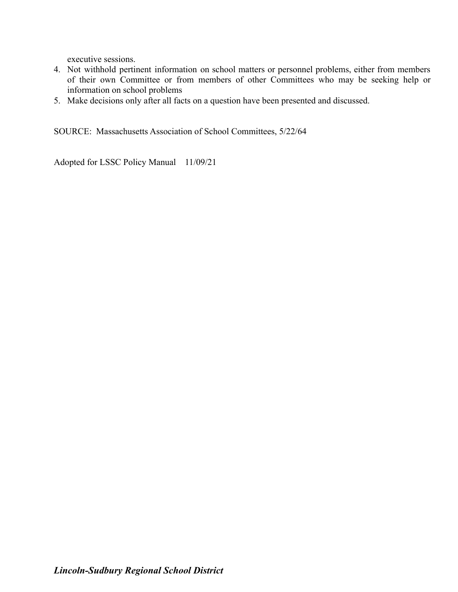executive sessions.

- 4. Not withhold pertinent information on school matters or personnel problems, either from members of their own Committee or from members of other Committees who may be seeking help or information on school problems
- 5. Make decisions only after all facts on a question have been presented and discussed.

SOURCE: Massachusetts Association of School Committees, 5/22/64

Adopted for LSSC Policy Manual 11/09/21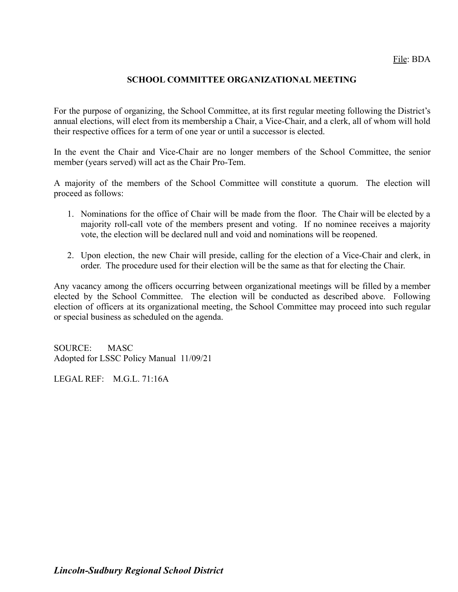## **SCHOOL COMMITTEE ORGANIZATIONAL MEETING**

For the purpose of organizing, the School Committee, at its first regular meeting following the District's annual elections, will elect from its membership a Chair, a Vice-Chair, and a clerk, all of whom will hold their respective offices for a term of one year or until a successor is elected.

In the event the Chair and Vice-Chair are no longer members of the School Committee, the senior member (years served) will act as the Chair Pro-Tem.

A majority of the members of the School Committee will constitute a quorum. The election will proceed as follows:

- 1. Nominations for the office of Chair will be made from the floor. The Chair will be elected by a majority roll-call vote of the members present and voting. If no nominee receives a majority vote, the election will be declared null and void and nominations will be reopened.
- 2. Upon election, the new Chair will preside, calling for the election of a Vice-Chair and clerk, in order. The procedure used for their election will be the same as that for electing the Chair.

Any vacancy among the officers occurring between organizational meetings will be filled by a member elected by the School Committee. The election will be conducted as described above. Following election of officers at its organizational meeting, the School Committee may proceed into such regular or special business as scheduled on the agenda.

SOURCE: MASC Adopted for LSSC Policy Manual 11/09/21

LEGAL REF: M.G.L. 71:16A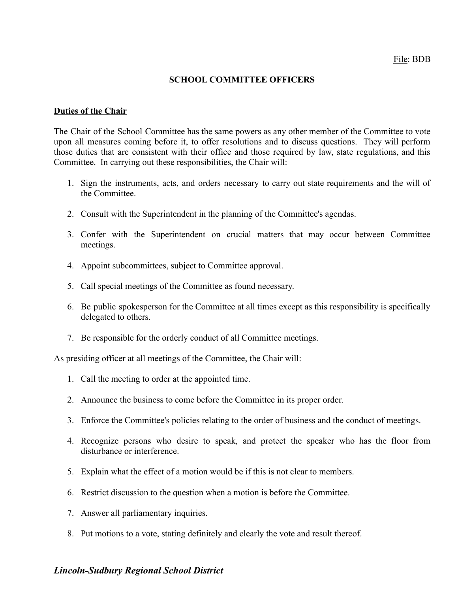### **SCHOOL COMMITTEE OFFICERS**

#### **Duties of the Chair**

The Chair of the School Committee has the same powers as any other member of the Committee to vote upon all measures coming before it, to offer resolutions and to discuss questions. They will perform those duties that are consistent with their office and those required by law, state regulations, and this Committee. In carrying out these responsibilities, the Chair will:

- 1. Sign the instruments, acts, and orders necessary to carry out state requirements and the will of the Committee.
- 2. Consult with the Superintendent in the planning of the Committee's agendas.
- 3. Confer with the Superintendent on crucial matters that may occur between Committee meetings.
- 4. Appoint subcommittees, subject to Committee approval.
- 5. Call special meetings of the Committee as found necessary.
- 6. Be public spokesperson for the Committee at all times except as this responsibility is specifically delegated to others.
- 7. Be responsible for the orderly conduct of all Committee meetings.

As presiding officer at all meetings of the Committee, the Chair will:

- 1. Call the meeting to order at the appointed time.
- 2. Announce the business to come before the Committee in its proper order.
- 3. Enforce the Committee's policies relating to the order of business and the conduct of meetings.
- 4. Recognize persons who desire to speak, and protect the speaker who has the floor from disturbance or interference.
- 5. Explain what the effect of a motion would be if this is not clear to members.
- 6. Restrict discussion to the question when a motion is before the Committee.
- 7. Answer all parliamentary inquiries.
- 8. Put motions to a vote, stating definitely and clearly the vote and result thereof.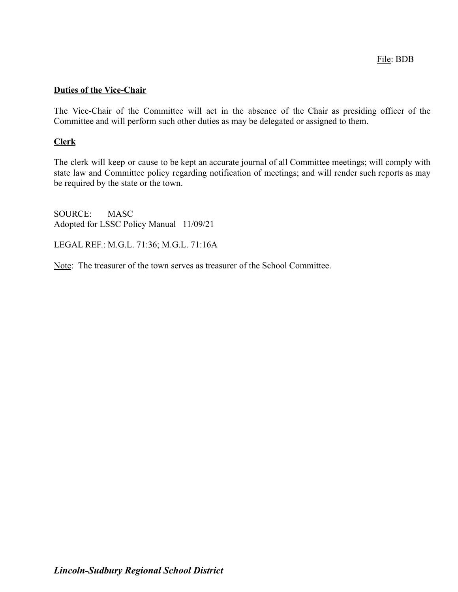### **Duties of the Vice-Chair**

The Vice-Chair of the Committee will act in the absence of the Chair as presiding officer of the Committee and will perform such other duties as may be delegated or assigned to them.

### **Clerk**

The clerk will keep or cause to be kept an accurate journal of all Committee meetings; will comply with state law and Committee policy regarding notification of meetings; and will render such reports as may be required by the state or the town.

SOURCE: MASC Adopted for LSSC Policy Manual 11/09/21

LEGAL REF.: M.G.L. 71:36; M.G.L. 71:16A

Note: The treasurer of the town serves as treasurer of the School Committee.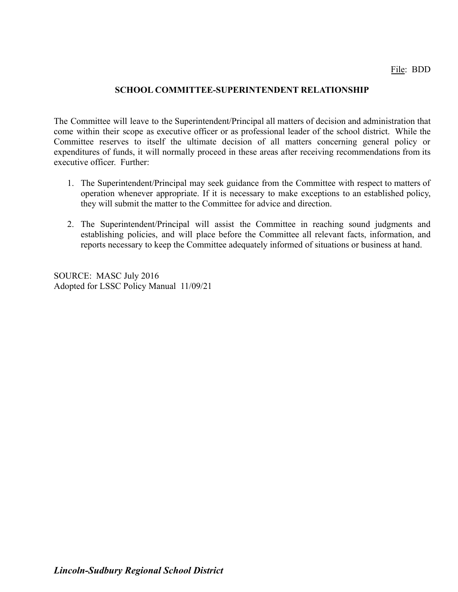## **SCHOOL COMMITTEE-SUPERINTENDENT RELATIONSHIP**

The Committee will leave to the Superintendent/Principal all matters of decision and administration that come within their scope as executive officer or as professional leader of the school district. While the Committee reserves to itself the ultimate decision of all matters concerning general policy or expenditures of funds, it will normally proceed in these areas after receiving recommendations from its executive officer. Further:

- 1. The Superintendent/Principal may seek guidance from the Committee with respect to matters of operation whenever appropriate. If it is necessary to make exceptions to an established policy, they will submit the matter to the Committee for advice and direction.
- 2. The Superintendent/Principal will assist the Committee in reaching sound judgments and establishing policies, and will place before the Committee all relevant facts, information, and reports necessary to keep the Committee adequately informed of situations or business at hand.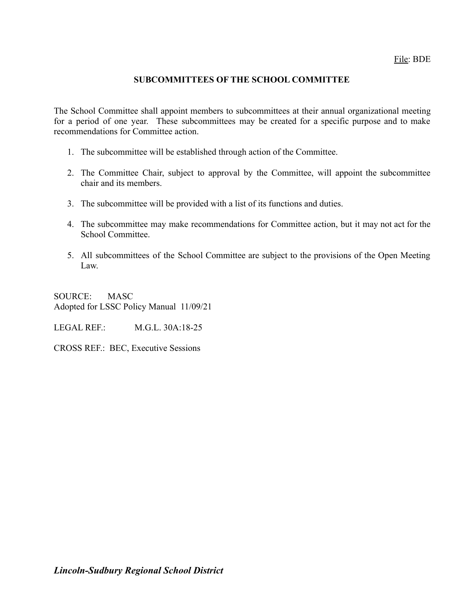## **SUBCOMMITTEES OF THE SCHOOL COMMITTEE**

The School Committee shall appoint members to subcommittees at their annual organizational meeting for a period of one year. These subcommittees may be created for a specific purpose and to make recommendations for Committee action.

- 1. The subcommittee will be established through action of the Committee.
- 2. The Committee Chair, subject to approval by the Committee, will appoint the subcommittee chair and its members.
- 3. The subcommittee will be provided with a list of its functions and duties.
- 4. The subcommittee may make recommendations for Committee action, but it may not act for the School Committee.
- 5. All subcommittees of the School Committee are subject to the provisions of the Open Meeting Law.

SOURCE: MASC Adopted for LSSC Policy Manual 11/09/21

LEGAL REF.: M.G.L. 30A:18-25

CROSS REF.: BEC, Executive Sessions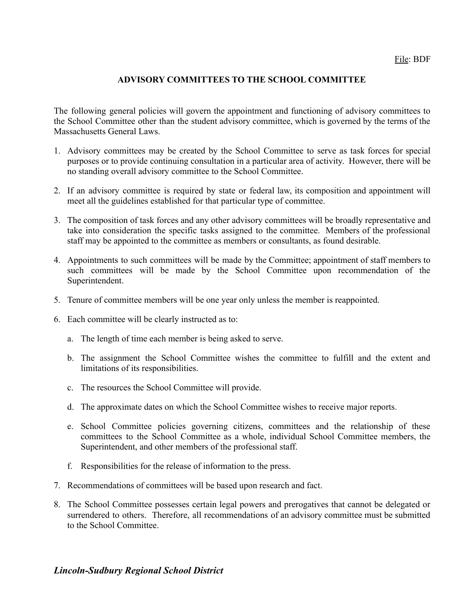## **ADVISORY COMMITTEES TO THE SCHOOL COMMITTEE**

The following general policies will govern the appointment and functioning of advisory committees to the School Committee other than the student advisory committee, which is governed by the terms of the Massachusetts General Laws.

- 1. Advisory committees may be created by the School Committee to serve as task forces for special purposes or to provide continuing consultation in a particular area of activity. However, there will be no standing overall advisory committee to the School Committee.
- 2. If an advisory committee is required by state or federal law, its composition and appointment will meet all the guidelines established for that particular type of committee.
- 3. The composition of task forces and any other advisory committees will be broadly representative and take into consideration the specific tasks assigned to the committee. Members of the professional staff may be appointed to the committee as members or consultants, as found desirable.
- 4. Appointments to such committees will be made by the Committee; appointment of staff members to such committees will be made by the School Committee upon recommendation of the Superintendent.
- 5. Tenure of committee members will be one year only unless the member is reappointed.
- 6. Each committee will be clearly instructed as to:
	- a. The length of time each member is being asked to serve.
	- b. The assignment the School Committee wishes the committee to fulfill and the extent and limitations of its responsibilities.
	- c. The resources the School Committee will provide.
	- d. The approximate dates on which the School Committee wishes to receive major reports.
	- e. School Committee policies governing citizens, committees and the relationship of these committees to the School Committee as a whole, individual School Committee members, the Superintendent, and other members of the professional staff.
	- f. Responsibilities for the release of information to the press.
- 7. Recommendations of committees will be based upon research and fact.
- 8. The School Committee possesses certain legal powers and prerogatives that cannot be delegated or surrendered to others. Therefore, all recommendations of an advisory committee must be submitted to the School Committee.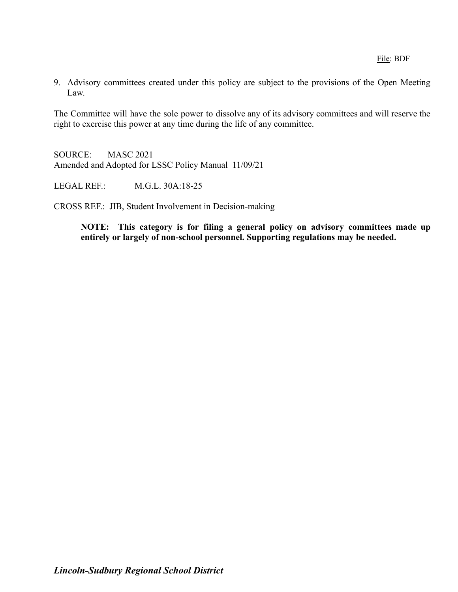9. Advisory committees created under this policy are subject to the provisions of the Open Meeting Law.

The Committee will have the sole power to dissolve any of its advisory committees and will reserve the right to exercise this power at any time during the life of any committee.

SOURCE: MASC 2021 Amended and Adopted for LSSC Policy Manual 11/09/21

LEGAL REF.: M.G.L. 30A:18-25

CROSS REF.: JIB, Student Involvement in Decision-making

**NOTE: This category is for filing a general policy on advisory committees made up entirely or largely of non-school personnel. Supporting regulations may be needed.**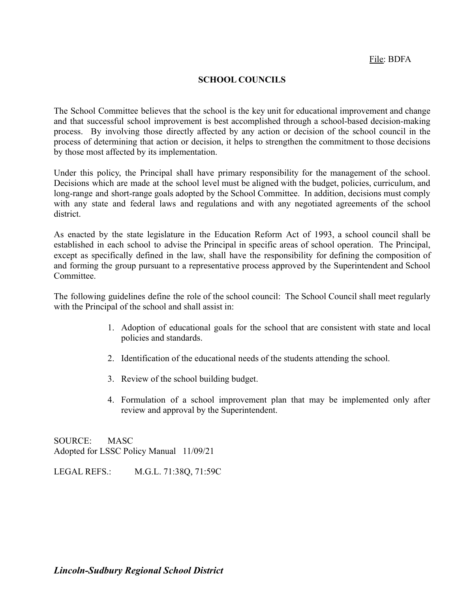### **SCHOOL COUNCILS**

The School Committee believes that the school is the key unit for educational improvement and change and that successful school improvement is best accomplished through a school-based decision-making process. By involving those directly affected by any action or decision of the school council in the process of determining that action or decision, it helps to strengthen the commitment to those decisions by those most affected by its implementation.

Under this policy, the Principal shall have primary responsibility for the management of the school. Decisions which are made at the school level must be aligned with the budget, policies, curriculum, and long-range and short-range goals adopted by the School Committee. In addition, decisions must comply with any state and federal laws and regulations and with any negotiated agreements of the school district.

As enacted by the state legislature in the Education Reform Act of 1993, a school council shall be established in each school to advise the Principal in specific areas of school operation. The Principal, except as specifically defined in the law, shall have the responsibility for defining the composition of and forming the group pursuant to a representative process approved by the Superintendent and School Committee.

The following guidelines define the role of the school council: The School Council shall meet regularly with the Principal of the school and shall assist in:

- 1. Adoption of educational goals for the school that are consistent with state and local policies and standards.
- 2. Identification of the educational needs of the students attending the school.
- 3. Review of the school building budget.
- 4. Formulation of a school improvement plan that may be implemented only after review and approval by the Superintendent.

SOURCE: MASC Adopted for LSSC Policy Manual 11/09/21

LEGAL REFS.: M.G.L. 71:38Q, 71:59C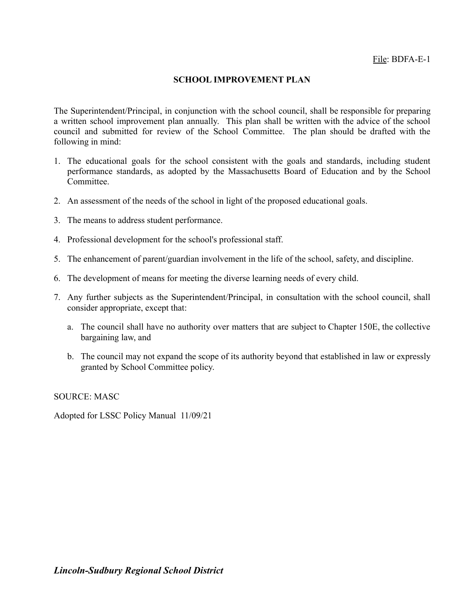### **SCHOOL IMPROVEMENT PLAN**

The Superintendent/Principal, in conjunction with the school council, shall be responsible for preparing a written school improvement plan annually. This plan shall be written with the advice of the school council and submitted for review of the School Committee. The plan should be drafted with the following in mind:

- 1. The educational goals for the school consistent with the goals and standards, including student performance standards, as adopted by the Massachusetts Board of Education and by the School Committee.
- 2. An assessment of the needs of the school in light of the proposed educational goals.
- 3. The means to address student performance.
- 4. Professional development for the school's professional staff.
- 5. The enhancement of parent/guardian involvement in the life of the school, safety, and discipline.
- 6. The development of means for meeting the diverse learning needs of every child.
- 7. Any further subjects as the Superintendent/Principal, in consultation with the school council, shall consider appropriate, except that:
	- a. The council shall have no authority over matters that are subject to Chapter 150E, the collective bargaining law, and
	- b. The council may not expand the scope of its authority beyond that established in law or expressly granted by School Committee policy.

SOURCE: MASC

Adopted for LSSC Policy Manual 11/09/21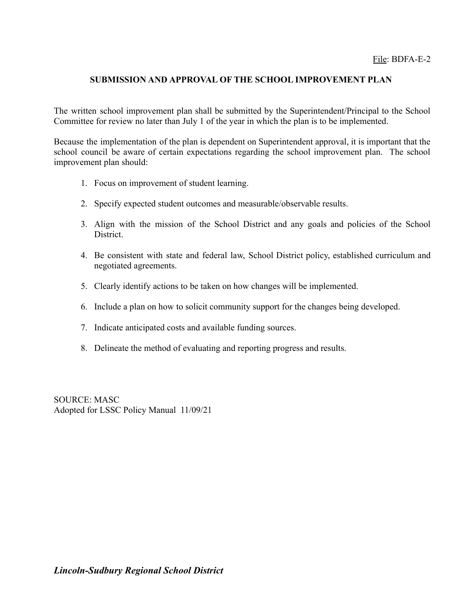## **SUBMISSION AND APPROVAL OF THE SCHOOL IMPROVEMENT PLAN**

The written school improvement plan shall be submitted by the Superintendent/Principal to the School Committee for review no later than July 1 of the year in which the plan is to be implemented.

Because the implementation of the plan is dependent on Superintendent approval, it is important that the school council be aware of certain expectations regarding the school improvement plan. The school improvement plan should:

- 1. Focus on improvement of student learning.
- 2. Specify expected student outcomes and measurable/observable results.
- 3. Align with the mission of the School District and any goals and policies of the School District.
- 4. Be consistent with state and federal law, School District policy, established curriculum and negotiated agreements.
- 5. Clearly identify actions to be taken on how changes will be implemented.
- 6. Include a plan on how to solicit community support for the changes being developed.
- 7. Indicate anticipated costs and available funding sources.
- 8. Delineate the method of evaluating and reporting progress and results.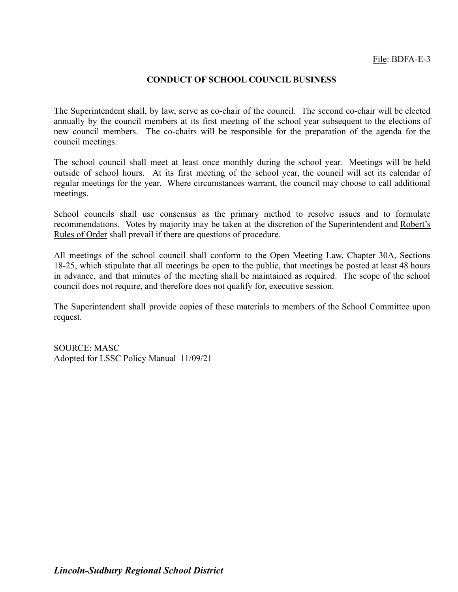### **CONDUCT OF SCHOOL COUNCIL BUSINESS**

The Superintendent shall, by law, serve as co-chair of the council. The second co-chair will be elected annually by the council members at its first meeting of the school year subsequent to the elections of new council members. The co-chairs will be responsible for the preparation of the agenda for the council meetings.

The school council shall meet at least once monthly during the school year. Meetings will be held outside of school hours. At its first meeting of the school year, the council will set its calendar of regular meetings for the year. Where circumstances warrant, the council may choose to call additional meetings.

School councils shall use consensus as the primary method to resolve issues and to formulate recommendations. Votes by majority may be taken at the discretion of the Superintendent and Robert's Rules of Order shall prevail if there are questions of procedure.

All meetings of the school council shall conform to the Open Meeting Law, Chapter 30A, Sections 18-25, which stipulate that all meetings be open to the public, that meetings be posted at least 48 hours in advance, and that minutes of the meeting shall be maintained as required. The scope of the school council does not require, and therefore does not qualify for, executive session.

The Superintendent shall provide copies of these materials to members of the School Committee upon request.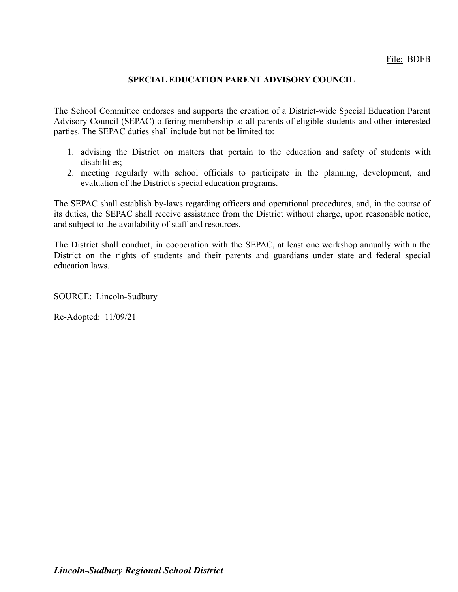## **SPECIAL EDUCATION PARENT ADVISORY COUNCIL**

The School Committee endorses and supports the creation of a District-wide Special Education Parent Advisory Council (SEPAC) offering membership to all parents of eligible students and other interested parties. The SEPAC duties shall include but not be limited to:

- 1. advising the District on matters that pertain to the education and safety of students with disabilities;
- 2. meeting regularly with school officials to participate in the planning, development, and evaluation of the District's special education programs.

The SEPAC shall establish by-laws regarding officers and operational procedures, and, in the course of its duties, the SEPAC shall receive assistance from the District without charge, upon reasonable notice, and subject to the availability of staff and resources.

The District shall conduct, in cooperation with the SEPAC, at least one workshop annually within the District on the rights of students and their parents and guardians under state and federal special education laws.

SOURCE: Lincoln-Sudbury

Re-Adopted: 11/09/21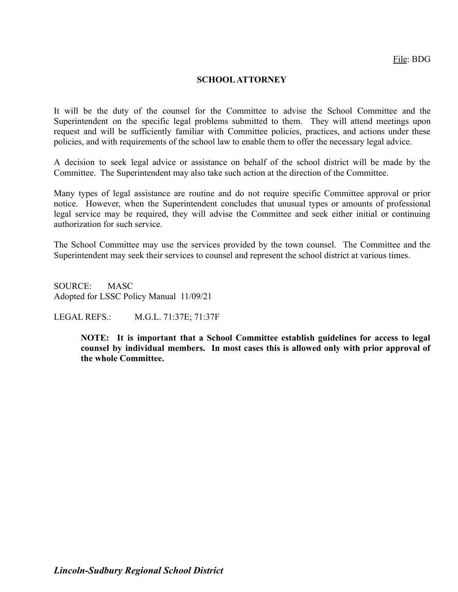### **SCHOOLATTORNEY**

It will be the duty of the counsel for the Committee to advise the School Committee and the Superintendent on the specific legal problems submitted to them. They will attend meetings upon request and will be sufficiently familiar with Committee policies, practices, and actions under these policies, and with requirements of the school law to enable them to offer the necessary legal advice.

A decision to seek legal advice or assistance on behalf of the school district will be made by the Committee. The Superintendent may also take such action at the direction of the Committee.

Many types of legal assistance are routine and do not require specific Committee approval or prior notice. However, when the Superintendent concludes that unusual types or amounts of professional legal service may be required, they will advise the Committee and seek either initial or continuing authorization for such service.

The School Committee may use the services provided by the town counsel. The Committee and the Superintendent may seek their services to counsel and represent the school district at various times.

SOURCE: MASC Adopted for LSSC Policy Manual 11/09/21

LEGAL REFS.: M.G.L. 71:37E; 71:37F

**NOTE: It is important that a School Committee establish guidelines for access to legal counsel by individual members. In most cases this is allowed only with prior approval of the whole Committee.**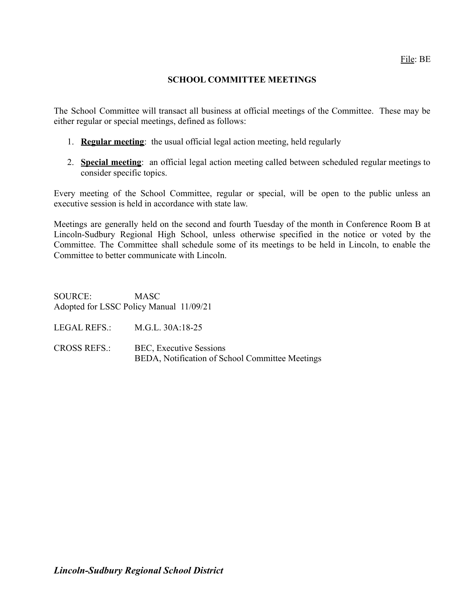### **SCHOOL COMMITTEE MEETINGS**

The School Committee will transact all business at official meetings of the Committee. These may be either regular or special meetings, defined as follows:

- 1. **Regular meeting**: the usual official legal action meeting, held regularly
- 2. **Special meeting**: an official legal action meeting called between scheduled regular meetings to consider specific topics.

Every meeting of the School Committee, regular or special, will be open to the public unless an executive session is held in accordance with state law.

Meetings are generally held on the second and fourth Tuesday of the month in Conference Room B at Lincoln-Sudbury Regional High School, unless otherwise specified in the notice or voted by the Committee. The Committee shall schedule some of its meetings to be held in Lincoln, to enable the Committee to better communicate with Lincoln.

SOURCE: MASC Adopted for LSSC Policy Manual 11/09/21

LEGAL REFS.: M.G.L. 30A:18-25

CROSS REFS.: BEC, Executive Sessions BEDA, Notification of School Committee Meetings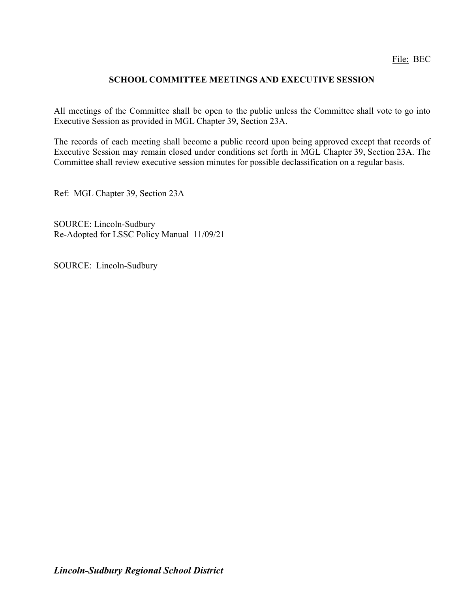## **SCHOOL COMMITTEE MEETINGS AND EXECUTIVE SESSION**

All meetings of the Committee shall be open to the public unless the Committee shall vote to go into Executive Session as provided in MGL Chapter 39, Section 23A.

The records of each meeting shall become a public record upon being approved except that records of Executive Session may remain closed under conditions set forth in MGL Chapter 39, Section 23A. The Committee shall review executive session minutes for possible declassification on a regular basis.

Ref: MGL Chapter 39, Section 23A

SOURCE: Lincoln-Sudbury Re-Adopted for LSSC Policy Manual 11/09/21

SOURCE: Lincoln-Sudbury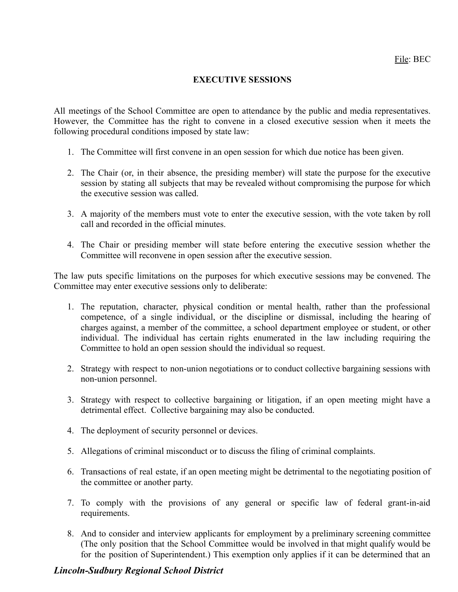## **EXECUTIVE SESSIONS**

All meetings of the School Committee are open to attendance by the public and media representatives. However, the Committee has the right to convene in a closed executive session when it meets the following procedural conditions imposed by state law:

- 1. The Committee will first convene in an open session for which due notice has been given.
- 2. The Chair (or, in their absence, the presiding member) will state the purpose for the executive session by stating all subjects that may be revealed without compromising the purpose for which the executive session was called.
- 3. A majority of the members must vote to enter the executive session, with the vote taken by roll call and recorded in the official minutes.
- 4. The Chair or presiding member will state before entering the executive session whether the Committee will reconvene in open session after the executive session.

The law puts specific limitations on the purposes for which executive sessions may be convened. The Committee may enter executive sessions only to deliberate:

- 1. The reputation, character, physical condition or mental health, rather than the professional competence, of a single individual, or the discipline or dismissal, including the hearing of charges against, a member of the committee, a school department employee or student, or other individual. The individual has certain rights enumerated in the law including requiring the Committee to hold an open session should the individual so request.
- 2. Strategy with respect to non-union negotiations or to conduct collective bargaining sessions with non-union personnel.
- 3. Strategy with respect to collective bargaining or litigation, if an open meeting might have a detrimental effect. Collective bargaining may also be conducted.
- 4. The deployment of security personnel or devices.
- 5. Allegations of criminal misconduct or to discuss the filing of criminal complaints.
- 6. Transactions of real estate, if an open meeting might be detrimental to the negotiating position of the committee or another party.
- 7. To comply with the provisions of any general or specific law of federal grant-in-aid requirements.
- 8. And to consider and interview applicants for employment by a preliminary screening committee (The only position that the School Committee would be involved in that might qualify would be for the position of Superintendent.) This exemption only applies if it can be determined that an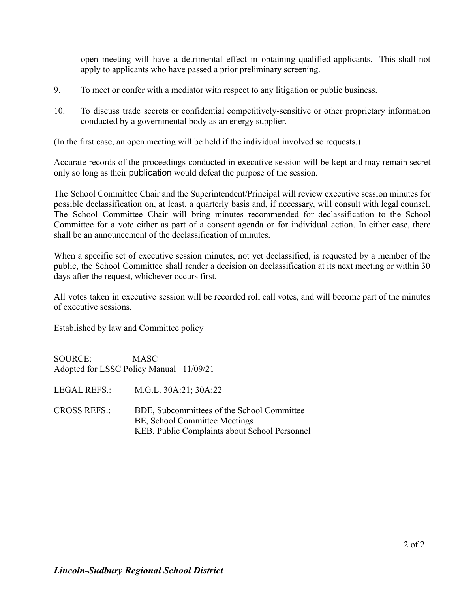open meeting will have a detrimental effect in obtaining qualified applicants. This shall not apply to applicants who have passed a prior preliminary screening.

- 9. To meet or confer with a mediator with respect to any litigation or public business.
- 10. To discuss trade secrets or confidential competitively-sensitive or other proprietary information conducted by a governmental body as an energy supplier.

(In the first case, an open meeting will be held if the individual involved so requests.)

Accurate records of the proceedings conducted in executive session will be kept and may remain secret only so long as their publication would defeat the purpose of the session.

The School Committee Chair and the Superintendent/Principal will review executive session minutes for possible declassification on, at least, a quarterly basis and, if necessary, will consult with legal counsel. The School Committee Chair will bring minutes recommended for declassification to the School Committee for a vote either as part of a consent agenda or for individual action. In either case, there shall be an announcement of the declassification of minutes.

When a specific set of executive session minutes, not yet declassified, is requested by a member of the public, the School Committee shall render a decision on declassification at its next meeting or within 30 days after the request, whichever occurs first.

All votes taken in executive session will be recorded roll call votes, and will become part of the minutes of executive sessions.

Established by law and Committee policy

SOURCE: MASC Adopted for LSSC Policy Manual 11/09/21

LEGAL REFS.: M.G.L. 30A:21; 30A:22

CROSS REFS.: BDE, Subcommittees of the School Committee BE, School Committee Meetings KEB, Public Complaints about School Personnel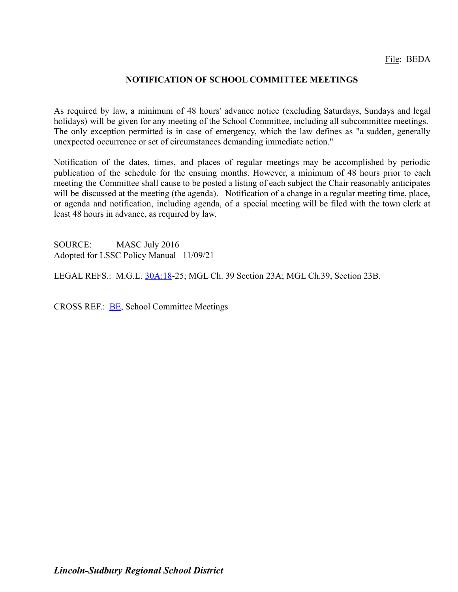## **NOTIFICATION OF SCHOOL COMMITTEE MEETINGS**

As required by law, a minimum of 48 hours' advance notice (excluding Saturdays, Sundays and legal holidays) will be given for any meeting of the School Committee, including all subcommittee meetings. The only exception permitted is in case of emergency, which the law defines as "a sudden, generally unexpected occurrence or set of circumstances demanding immediate action."

Notification of the dates, times, and places of regular meetings may be accomplished by periodic publication of the schedule for the ensuing months. However, a minimum of 48 hours prior to each meeting the Committee shall cause to be posted a listing of each subject the Chair reasonably anticipates will be discussed at the meeting (the agenda). Notification of a change in a regular meeting time, place, or agenda and notification, including agenda, of a special meeting will be filed with the town clerk at least 48 hours in advance, as required by law.

SOURCE: MASC July 2016 Adopted for LSSC Policy Manual 11/09/21

LEGAL REFS.: M.G.L. [30A:18](http://www.malegislature.gov/Laws/GeneralLaws/PartI/TitleIII/Chapter30A/Section18)-25; MGL Ch. 39 Section 23A; MGL Ch.39, Section 23B.

CROSS REF.: [BE,](http://z2policy.ctspublish.com/masc/DocViewer.jsp?docid=36&z2collection=master#JD_BE) School Committee Meetings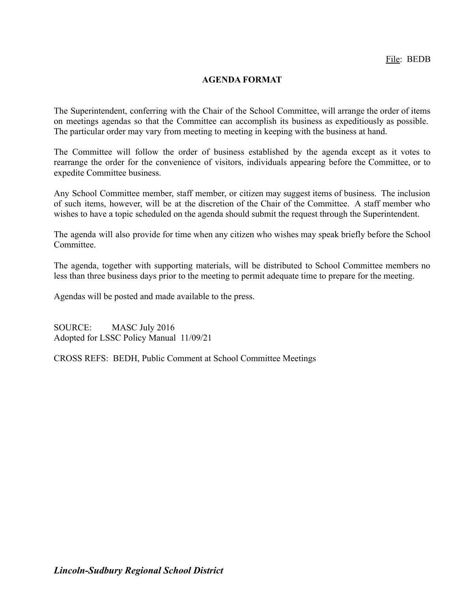## **AGENDA FORMAT**

The Superintendent, conferring with the Chair of the School Committee, will arrange the order of items on meetings agendas so that the Committee can accomplish its business as expeditiously as possible. The particular order may vary from meeting to meeting in keeping with the business at hand.

The Committee will follow the order of business established by the agenda except as it votes to rearrange the order for the convenience of visitors, individuals appearing before the Committee, or to expedite Committee business.

Any School Committee member, staff member, or citizen may suggest items of business. The inclusion of such items, however, will be at the discretion of the Chair of the Committee. A staff member who wishes to have a topic scheduled on the agenda should submit the request through the Superintendent.

The agenda will also provide for time when any citizen who wishes may speak briefly before the School **Committee** 

The agenda, together with supporting materials, will be distributed to School Committee members no less than three business days prior to the meeting to permit adequate time to prepare for the meeting.

Agendas will be posted and made available to the press.

SOURCE: MASC July 2016 Adopted for LSSC Policy Manual 11/09/21

CROSS REFS: BEDH, Public Comment at School Committee Meetings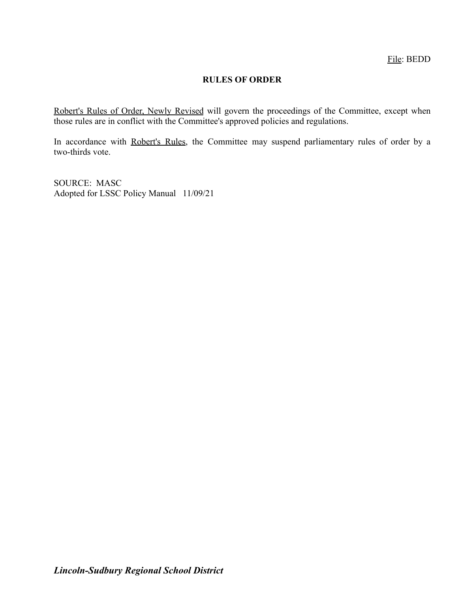## **RULES OF ORDER**

Robert's Rules of Order, Newly Revised will govern the proceedings of the Committee, except when those rules are in conflict with the Committee's approved policies and regulations.

In accordance with Robert's Rules, the Committee may suspend parliamentary rules of order by a two-thirds vote.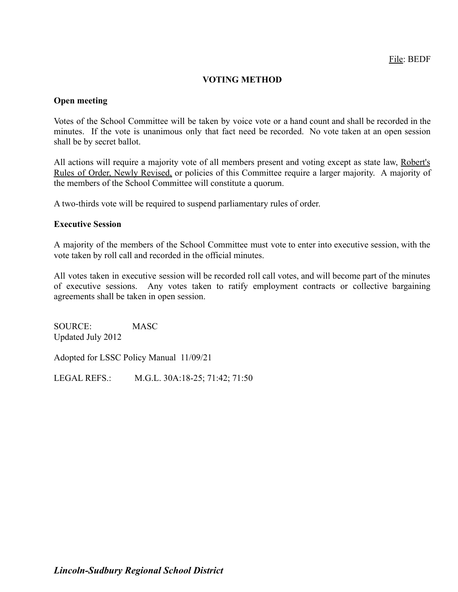## **VOTING METHOD**

### **Open meeting**

Votes of the School Committee will be taken by voice vote or a hand count and shall be recorded in the minutes. If the vote is unanimous only that fact need be recorded. No vote taken at an open session shall be by secret ballot.

All actions will require a majority vote of all members present and voting except as state law, Robert's Rules of Order, Newly Revised, or policies of this Committee require a larger majority. A majority of the members of the School Committee will constitute a quorum.

A two-thirds vote will be required to suspend parliamentary rules of order.

#### **Executive Session**

A majority of the members of the School Committee must vote to enter into executive session, with the vote taken by roll call and recorded in the official minutes.

All votes taken in executive session will be recorded roll call votes, and will become part of the minutes of executive sessions. Any votes taken to ratify employment contracts or collective bargaining agreements shall be taken in open session.

SOURCE: MASC Updated July 2012

Adopted for LSSC Policy Manual 11/09/21

LEGAL REFS.: M.G.L. 30A:18-25; 71:42; 71:50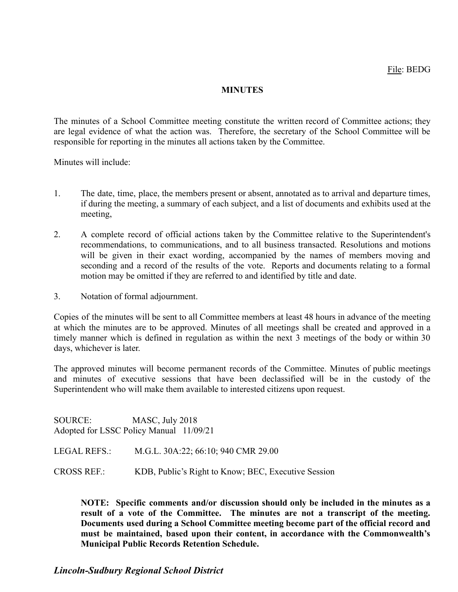## **MINUTES**

The minutes of a School Committee meeting constitute the written record of Committee actions; they are legal evidence of what the action was. Therefore, the secretary of the School Committee will be responsible for reporting in the minutes all actions taken by the Committee.

Minutes will include:

- 1. The date, time, place, the members present or absent, annotated as to arrival and departure times, if during the meeting, a summary of each subject, and a list of documents and exhibits used at the meeting,
- 2. A complete record of official actions taken by the Committee relative to the Superintendent's recommendations, to communications, and to all business transacted. Resolutions and motions will be given in their exact wording, accompanied by the names of members moving and seconding and a record of the results of the vote. Reports and documents relating to a formal motion may be omitted if they are referred to and identified by title and date.
- 3. Notation of formal adjournment.

Copies of the minutes will be sent to all Committee members at least 48 hours in advance of the meeting at which the minutes are to be approved. Minutes of all meetings shall be created and approved in a timely manner which is defined in regulation as within the next 3 meetings of the body or within 30 days, whichever is later.

The approved minutes will become permanent records of the Committee. Minutes of public meetings and minutes of executive sessions that have been declassified will be in the custody of the Superintendent who will make them available to interested citizens upon request.

SOURCE: MASC, July 2018 Adopted for LSSC Policy Manual 11/09/21

LEGAL REFS.: M.G.L. 30A:22; 66:10; 940 CMR 29.00

CROSS REF.: KDB, Public's Right to Know; BEC, Executive Session

**NOTE: Specific comments and/or discussion should only be included in the minutes as a result of a vote of the Committee. The minutes are not a transcript of the meeting. Documents used during a School Committee meeting become part of the official record and must be maintained, based upon their content, in accordance with the Commonwealth's Municipal Public Records Retention Schedule.**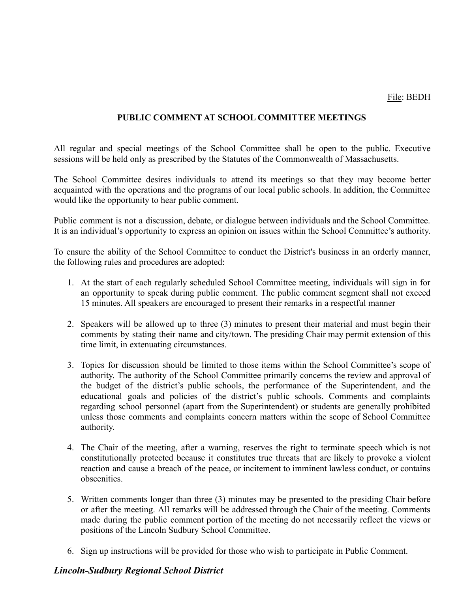## **PUBLIC COMMENT AT SCHOOL COMMITTEE MEETINGS**

All regular and special meetings of the School Committee shall be open to the public. Executive sessions will be held only as prescribed by the Statutes of the Commonwealth of Massachusetts.

The School Committee desires individuals to attend its meetings so that they may become better acquainted with the operations and the programs of our local public schools. In addition, the Committee would like the opportunity to hear public comment.

Public comment is not a discussion, debate, or dialogue between individuals and the School Committee. It is an individual's opportunity to express an opinion on issues within the School Committee's authority.

To ensure the ability of the School Committee to conduct the District's business in an orderly manner, the following rules and procedures are adopted:

- 1. At the start of each regularly scheduled School Committee meeting, individuals will sign in for an opportunity to speak during public comment. The public comment segment shall not exceed 15 minutes. All speakers are encouraged to present their remarks in a respectful manner
- 2. Speakers will be allowed up to three (3) minutes to present their material and must begin their comments by stating their name and city/town. The presiding Chair may permit extension of this time limit, in extenuating circumstances.
- 3. Topics for discussion should be limited to those items within the School Committee's scope of authority. The authority of the School Committee primarily concerns the review and approval of the budget of the district's public schools, the performance of the Superintendent, and the educational goals and policies of the district's public schools. Comments and complaints regarding school personnel (apart from the Superintendent) or students are generally prohibited unless those comments and complaints concern matters within the scope of School Committee authority.
- 4. The Chair of the meeting, after a warning, reserves the right to terminate speech which is not constitutionally protected because it constitutes true threats that are likely to provoke a violent reaction and cause a breach of the peace, or incitement to imminent lawless conduct, or contains obscenities.
- 5. Written comments longer than three (3) minutes may be presented to the presiding Chair before or after the meeting. All remarks will be addressed through the Chair of the meeting. Comments made during the public comment portion of the meeting do not necessarily reflect the views or positions of the Lincoln Sudbury School Committee.
- 6. Sign up instructions will be provided for those who wish to participate in Public Comment.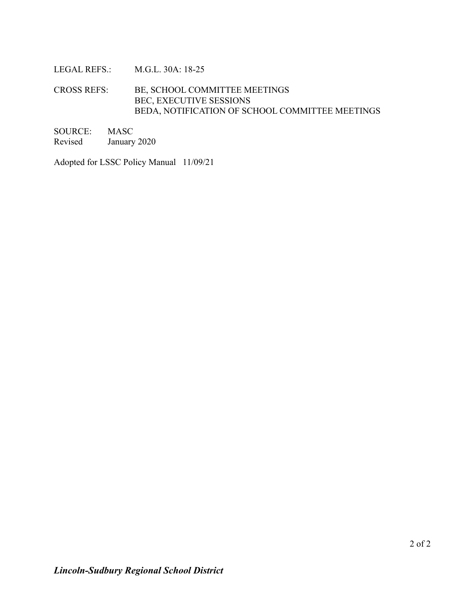### LEGAL REFS.: M.G.L. 30A: 18-25

## CROSS REFS: BE, SCHOOL COMMITTEE MEETINGS BEC, EXECUTIVE SESSIONS BEDA, NOTIFICATION OF SCHOOL COMMITTEE MEETINGS

| SOURCE: | MASC         |
|---------|--------------|
| Revised | January 2020 |

Adopted for LSSC Policy Manual 11/09/21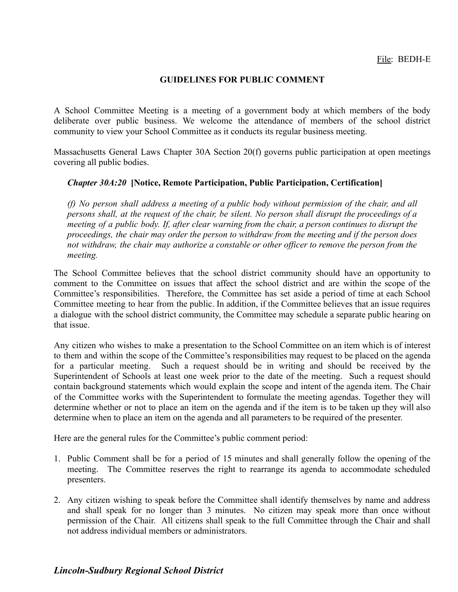### **GUIDELINES FOR PUBLIC COMMENT**

A School Committee Meeting is a meeting of a government body at which members of the body deliberate over public business. We welcome the attendance of members of the school district community to view your School Committee as it conducts its regular business meeting.

Massachusetts General Laws Chapter 30A Section 20(f) governs public participation at open meetings covering all public bodies.

#### *Chapter 30A:20* **[Notice, Remote Participation, Public Participation, Certification]**

*(f) No person shall address a meeting of a public body without permission of the chair, and all* persons shall, at the request of the chair, be silent. No person shall disrupt the proceedings of a meeting of a public body. If, after clear warning from the chair, a person continues to disrupt the *proceedings, the chair may order the person to withdraw from the meeting and if the person does not withdraw, the chair may authorize a constable or other officer to remove the person from the meeting.*

The School Committee believes that the school district community should have an opportunity to comment to the Committee on issues that affect the school district and are within the scope of the Committee's responsibilities. Therefore, the Committee has set aside a period of time at each School Committee meeting to hear from the public. In addition, if the Committee believes that an issue requires a dialogue with the school district community, the Committee may schedule a separate public hearing on that issue.

Any citizen who wishes to make a presentation to the School Committee on an item which is of interest to them and within the scope of the Committee's responsibilities may request to be placed on the agenda for a particular meeting. Such a request should be in writing and should be received by the Superintendent of Schools at least one week prior to the date of the meeting. Such a request should contain background statements which would explain the scope and intent of the agenda item. The Chair of the Committee works with the Superintendent to formulate the meeting agendas. Together they will determine whether or not to place an item on the agenda and if the item is to be taken up they will also determine when to place an item on the agenda and all parameters to be required of the presenter.

Here are the general rules for the Committee's public comment period:

- 1. Public Comment shall be for a period of 15 minutes and shall generally follow the opening of the meeting. The Committee reserves the right to rearrange its agenda to accommodate scheduled presenters.
- 2. Any citizen wishing to speak before the Committee shall identify themselves by name and address and shall speak for no longer than 3 minutes. No citizen may speak more than once without permission of the Chair. All citizens shall speak to the full Committee through the Chair and shall not address individual members or administrators.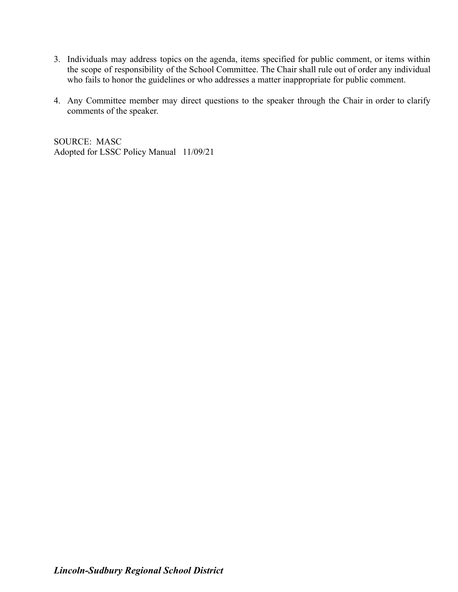- 3. Individuals may address topics on the agenda, items specified for public comment, or items within the scope of responsibility of the School Committee. The Chair shall rule out of order any individual who fails to honor the guidelines or who addresses a matter inappropriate for public comment.
- 4. Any Committee member may direct questions to the speaker through the Chair in order to clarify comments of the speaker.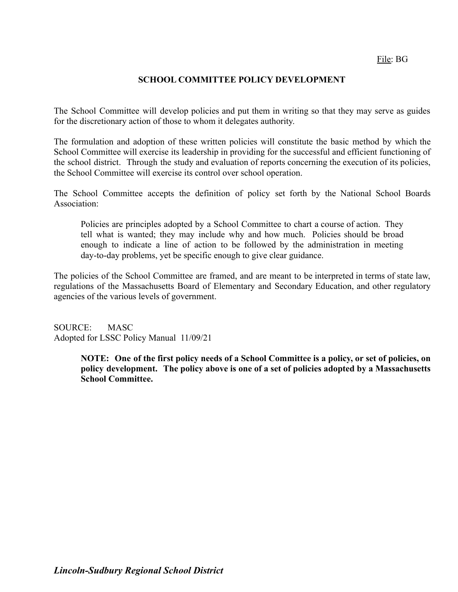## **SCHOOL COMMITTEE POLICY DEVELOPMENT**

The School Committee will develop policies and put them in writing so that they may serve as guides for the discretionary action of those to whom it delegates authority.

The formulation and adoption of these written policies will constitute the basic method by which the School Committee will exercise its leadership in providing for the successful and efficient functioning of the school district. Through the study and evaluation of reports concerning the execution of its policies, the School Committee will exercise its control over school operation.

The School Committee accepts the definition of policy set forth by the National School Boards Association:

Policies are principles adopted by a School Committee to chart a course of action. They tell what is wanted; they may include why and how much. Policies should be broad enough to indicate a line of action to be followed by the administration in meeting day-to-day problems, yet be specific enough to give clear guidance.

The policies of the School Committee are framed, and are meant to be interpreted in terms of state law, regulations of the Massachusetts Board of Elementary and Secondary Education, and other regulatory agencies of the various levels of government.

SOURCE: MASC Adopted for LSSC Policy Manual 11/09/21

> NOTE: One of the first policy needs of a School Committee is a policy, or set of policies, on **policy development. The policy above is one of a set of policies adopted by a Massachusetts School Committee.**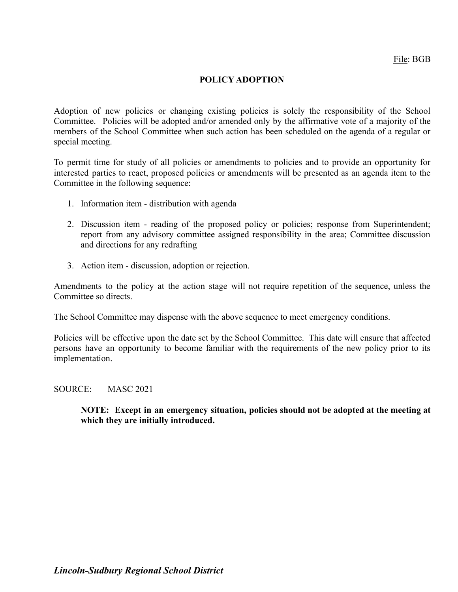## **POLICY ADOPTION**

Adoption of new policies or changing existing policies is solely the responsibility of the School Committee. Policies will be adopted and/or amended only by the affirmative vote of a majority of the members of the School Committee when such action has been scheduled on the agenda of a regular or special meeting.

To permit time for study of all policies or amendments to policies and to provide an opportunity for interested parties to react, proposed policies or amendments will be presented as an agenda item to the Committee in the following sequence:

- 1. Information item distribution with agenda
- 2. Discussion item reading of the proposed policy or policies; response from Superintendent; report from any advisory committee assigned responsibility in the area; Committee discussion and directions for any redrafting
- 3. Action item discussion, adoption or rejection.

Amendments to the policy at the action stage will not require repetition of the sequence, unless the Committee so directs.

The School Committee may dispense with the above sequence to meet emergency conditions.

Policies will be effective upon the date set by the School Committee. This date will ensure that affected persons have an opportunity to become familiar with the requirements of the new policy prior to its implementation.

SOURCE: MASC 2021

**NOTE: Except in an emergency situation, policies should not be adopted at the meeting at which they are initially introduced.**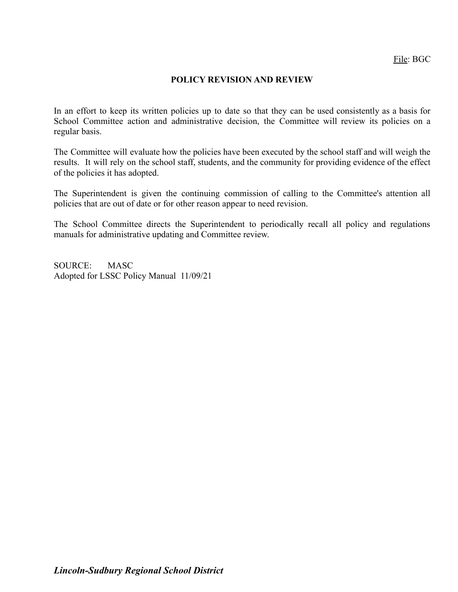### **POLICY REVISION AND REVIEW**

In an effort to keep its written policies up to date so that they can be used consistently as a basis for School Committee action and administrative decision, the Committee will review its policies on a regular basis.

The Committee will evaluate how the policies have been executed by the school staff and will weigh the results. It will rely on the school staff, students, and the community for providing evidence of the effect of the policies it has adopted.

The Superintendent is given the continuing commission of calling to the Committee's attention all policies that are out of date or for other reason appear to need revision.

The School Committee directs the Superintendent to periodically recall all policy and regulations manuals for administrative updating and Committee review.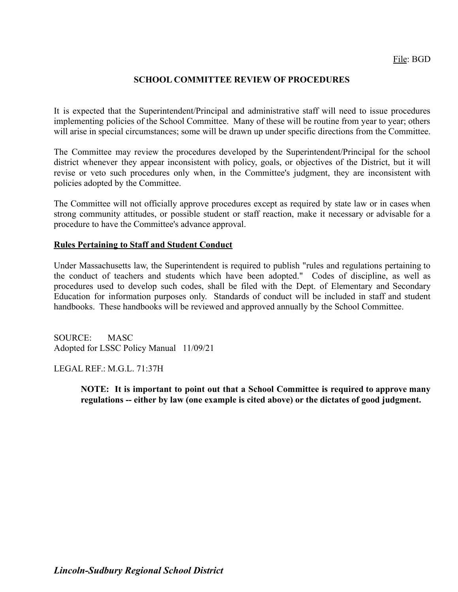## **SCHOOL COMMITTEE REVIEW OF PROCEDURES**

It is expected that the Superintendent/Principal and administrative staff will need to issue procedures implementing policies of the School Committee. Many of these will be routine from year to year; others will arise in special circumstances; some will be drawn up under specific directions from the Committee.

The Committee may review the procedures developed by the Superintendent/Principal for the school district whenever they appear inconsistent with policy, goals, or objectives of the District, but it will revise or veto such procedures only when, in the Committee's judgment, they are inconsistent with policies adopted by the Committee.

The Committee will not officially approve procedures except as required by state law or in cases when strong community attitudes, or possible student or staff reaction, make it necessary or advisable for a procedure to have the Committee's advance approval.

#### **Rules Pertaining to Staff and Student Conduct**

Under Massachusetts law, the Superintendent is required to publish "rules and regulations pertaining to the conduct of teachers and students which have been adopted." Codes of discipline, as well as procedures used to develop such codes, shall be filed with the Dept. of Elementary and Secondary Education for information purposes only. Standards of conduct will be included in staff and student handbooks. These handbooks will be reviewed and approved annually by the School Committee.

SOURCE: MASC Adopted for LSSC Policy Manual 11/09/21

LEGAL REF.: M.G.L. 71:37H

**NOTE: It is important to point out that a School Committee is required to approve many regulations -- either by law (one example is cited above) or the dictates of good judgment.**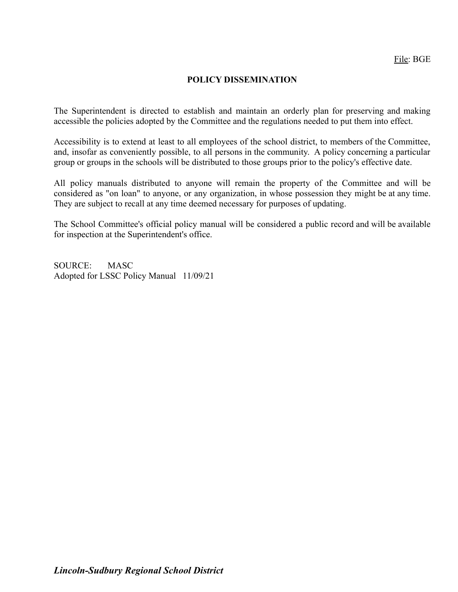## **POLICY DISSEMINATION**

The Superintendent is directed to establish and maintain an orderly plan for preserving and making accessible the policies adopted by the Committee and the regulations needed to put them into effect.

Accessibility is to extend at least to all employees of the school district, to members of the Committee, and, insofar as conveniently possible, to all persons in the community. A policy concerning a particular group or groups in the schools will be distributed to those groups prior to the policy's effective date.

All policy manuals distributed to anyone will remain the property of the Committee and will be considered as "on loan" to anyone, or any organization, in whose possession they might be at any time. They are subject to recall at any time deemed necessary for purposes of updating.

The School Committee's official policy manual will be considered a public record and will be available for inspection at the Superintendent's office.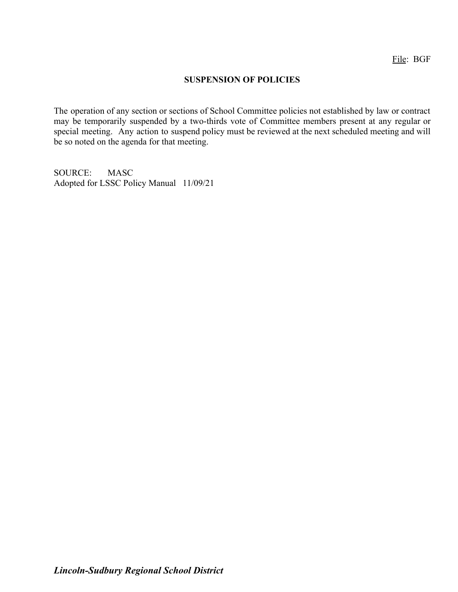### **SUSPENSION OF POLICIES**

The operation of any section or sections of School Committee policies not established by law or contract may be temporarily suspended by a two-thirds vote of Committee members present at any regular or special meeting. Any action to suspend policy must be reviewed at the next scheduled meeting and will be so noted on the agenda for that meeting.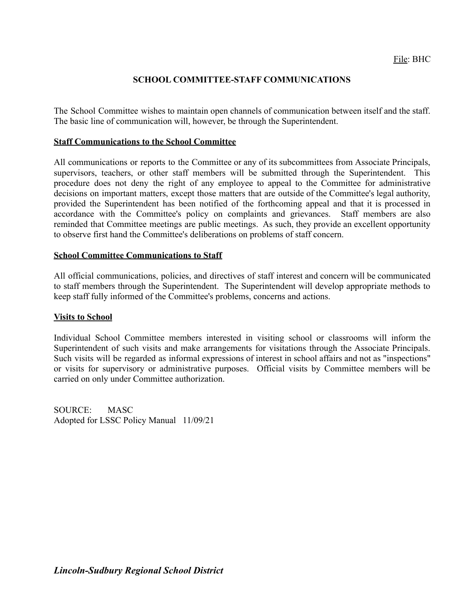## **SCHOOL COMMITTEE-STAFF COMMUNICATIONS**

The School Committee wishes to maintain open channels of communication between itself and the staff. The basic line of communication will, however, be through the Superintendent.

#### **Staff Communications to the School Committee**

All communications or reports to the Committee or any of its subcommittees from Associate Principals, supervisors, teachers, or other staff members will be submitted through the Superintendent. This procedure does not deny the right of any employee to appeal to the Committee for administrative decisions on important matters, except those matters that are outside of the Committee's legal authority, provided the Superintendent has been notified of the forthcoming appeal and that it is processed in accordance with the Committee's policy on complaints and grievances. Staff members are also reminded that Committee meetings are public meetings. As such, they provide an excellent opportunity to observe first hand the Committee's deliberations on problems of staff concern.

### **School Committee Communications to Staff**

All official communications, policies, and directives of staff interest and concern will be communicated to staff members through the Superintendent. The Superintendent will develop appropriate methods to keep staff fully informed of the Committee's problems, concerns and actions.

### **Visits to School**

Individual School Committee members interested in visiting school or classrooms will inform the Superintendent of such visits and make arrangements for visitations through the Associate Principals. Such visits will be regarded as informal expressions of interest in school affairs and not as "inspections" or visits for supervisory or administrative purposes. Official visits by Committee members will be carried on only under Committee authorization.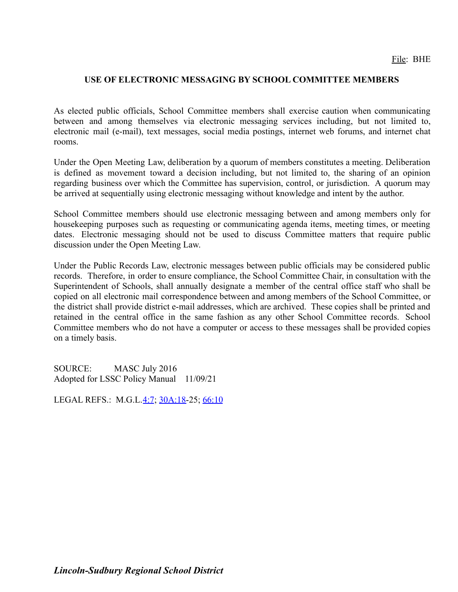## **USE OF ELECTRONIC MESSAGING BY SCHOOL COMMITTEE MEMBERS**

As elected public officials, School Committee members shall exercise caution when communicating between and among themselves via electronic messaging services including, but not limited to, electronic mail (e-mail), text messages, social media postings, internet web forums, and internet chat rooms.

Under the Open Meeting Law, deliberation by a quorum of members constitutes a meeting. Deliberation is defined as movement toward a decision including, but not limited to, the sharing of an opinion regarding business over which the Committee has supervision, control, or jurisdiction. A quorum may be arrived at sequentially using electronic messaging without knowledge and intent by the author.

School Committee members should use electronic messaging between and among members only for housekeeping purposes such as requesting or communicating agenda items, meeting times, or meeting dates. Electronic messaging should not be used to discuss Committee matters that require public discussion under the Open Meeting Law.

Under the Public Records Law, electronic messages between public officials may be considered public records. Therefore, in order to ensure compliance, the School Committee Chair, in consultation with the Superintendent of Schools, shall annually designate a member of the central office staff who shall be copied on all electronic mail correspondence between and among members of the School Committee, or the district shall provide district e-mail addresses, which are archived. These copies shall be printed and retained in the central office in the same fashion as any other School Committee records. School Committee members who do not have a computer or access to these messages shall be provided copies on a timely basis.

SOURCE: MASC July 2016 Adopted for LSSC Policy Manual 11/09/21

LEGAL REFS.: M.G.L.[4:7](http://www.malegislature.gov/Laws/GeneralLaws/PartI/TitleI/Chapter4/Section7); [30A:18-](http://www.malegislature.gov/Laws/GeneralLaws/PartI/TitleIII/Chapter30A/Section18)25; [66:10](http://www.malegislature.gov/laws/generallaws/parti/titlex/chapter66/section10)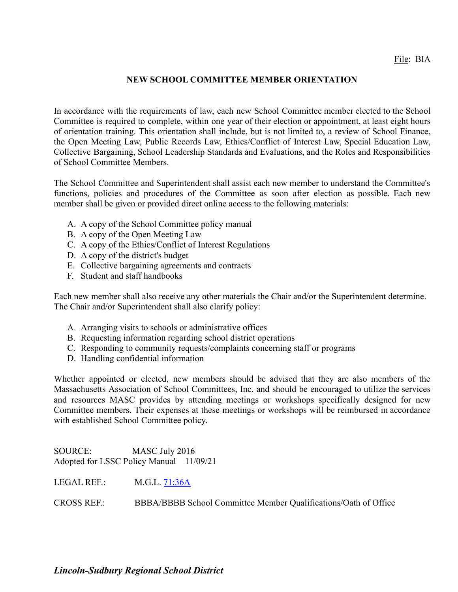## File: BIA

### **NEW SCHOOL COMMITTEE MEMBER ORIENTATION**

In accordance with the requirements of law, each new School Committee member elected to the School Committee is required to complete, within one year of their election or appointment, at least eight hours of orientation training. This orientation shall include, but is not limited to, a review of School Finance, the Open Meeting Law, Public Records Law, Ethics/Conflict of Interest Law, Special Education Law, Collective Bargaining, School Leadership Standards and Evaluations, and the Roles and Responsibilities of School Committee Members.

The School Committee and Superintendent shall assist each new member to understand the Committee's functions, policies and procedures of the Committee as soon after election as possible. Each new member shall be given or provided direct online access to the following materials:

- A. A copy of the School Committee policy manual
- B. A copy of the Open Meeting Law
- C. A copy of the Ethics/Conflict of Interest Regulations
- D. A copy of the district's budget
- E. Collective bargaining agreements and contracts
- F. Student and staff handbooks

Each new member shall also receive any other materials the Chair and/or the Superintendent determine. The Chair and/or Superintendent shall also clarify policy:

- A. Arranging visits to schools or administrative offices
- B. Requesting information regarding school district operations
- C. Responding to community requests/complaints concerning staff or programs
- D. Handling confidential information

Whether appointed or elected, new members should be advised that they are also members of the Massachusetts Association of School Committees, Inc. and should be encouraged to utilize the services and resources MASC provides by attending meetings or workshops specifically designed for new Committee members. Their expenses at these meetings or workshops will be reimbursed in accordance with established School Committee policy.

SOURCE: MASC July 2016 Adopted for LSSC Policy Manual 11/09/21

LEGAL REF.: M.G.L. [71:36A](http://www.malegislature.gov/Laws/GeneralLaws/PartI/TitleXII/Chapter71/Section36A)

CROSS REF.: BBBA/BBBB School Committee Member Qualifications/Oath of Office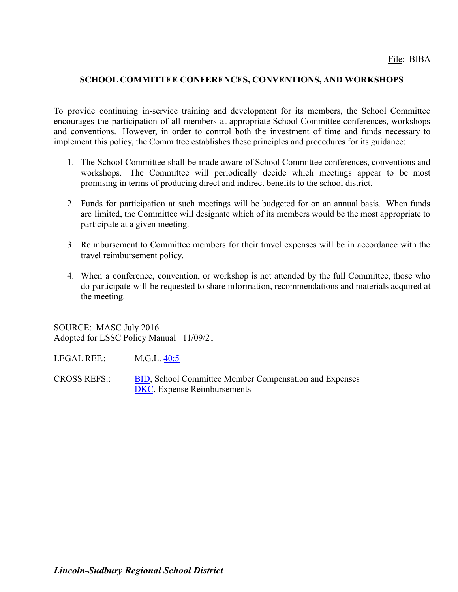### **SCHOOL COMMITTEE CONFERENCES, CONVENTIONS, AND WORKSHOPS**

To provide continuing in-service training and development for its members, the School Committee encourages the participation of all members at appropriate School Committee conferences, workshops and conventions. However, in order to control both the investment of time and funds necessary to implement this policy, the Committee establishes these principles and procedures for its guidance:

- 1. The School Committee shall be made aware of School Committee conferences, conventions and workshops. The Committee will periodically decide which meetings appear to be most promising in terms of producing direct and indirect benefits to the school district.
- 2. Funds for participation at such meetings will be budgeted for on an annual basis. When funds are limited, the Committee will designate which of its members would be the most appropriate to participate at a given meeting.
- 3. Reimbursement to Committee members for their travel expenses will be in accordance with the travel reimbursement policy.
- 4. When a conference, convention, or workshop is not attended by the full Committee, those who do participate will be requested to share information, recommendations and materials acquired at the meeting.

SOURCE: MASC July 2016 Adopted for LSSC Policy Manual 11/09/21

LEGAL REF.: M.G.L. [40:5](http://www.malegislature.gov/Laws/GeneralLaws/PartI/TitleVII/Chapter40/Section5)

CROSS REFS.: [BID,](http://z2policy.ctspublish.com/masc/DocViewer.jsp?docid=57&z2collection=master#JD_BID) School Committee Member Compensation and Expenses [DKC](http://z2policy.ctspublish.com/masc/DocViewer.jsp?docid=94&z2collection=master#JD_DKC), Expense Reimbursements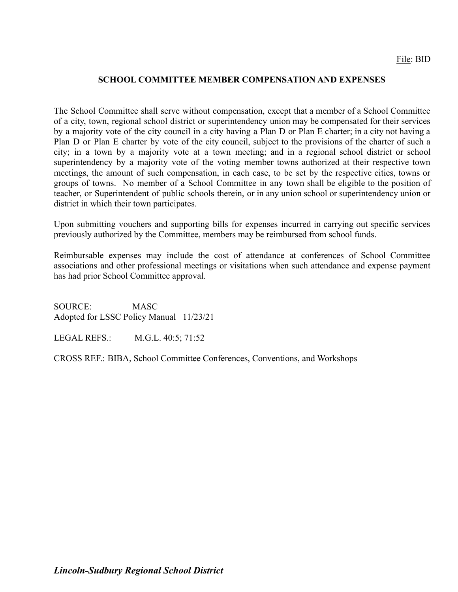### **SCHOOL COMMITTEE MEMBER COMPENSATION AND EXPENSES**

The School Committee shall serve without compensation, except that a member of a School Committee of a city, town, regional school district or superintendency union may be compensated for their services by a majority vote of the city council in a city having a Plan D or Plan E charter; in a city not having a Plan D or Plan E charter by vote of the city council, subject to the provisions of the charter of such a city; in a town by a majority vote at a town meeting; and in a regional school district or school superintendency by a majority vote of the voting member towns authorized at their respective town meetings, the amount of such compensation, in each case, to be set by the respective cities, towns or groups of towns. No member of a School Committee in any town shall be eligible to the position of teacher, or Superintendent of public schools therein, or in any union school or superintendency union or district in which their town participates.

Upon submitting vouchers and supporting bills for expenses incurred in carrying out specific services previously authorized by the Committee, members may be reimbursed from school funds.

Reimbursable expenses may include the cost of attendance at conferences of School Committee associations and other professional meetings or visitations when such attendance and expense payment has had prior School Committee approval.

SOURCE: MASC Adopted for LSSC Policy Manual 11/23/21

LEGAL REFS.: M.G.L. 40:5; 71:52

CROSS REF.: BIBA, School Committee Conferences, Conventions, and Workshops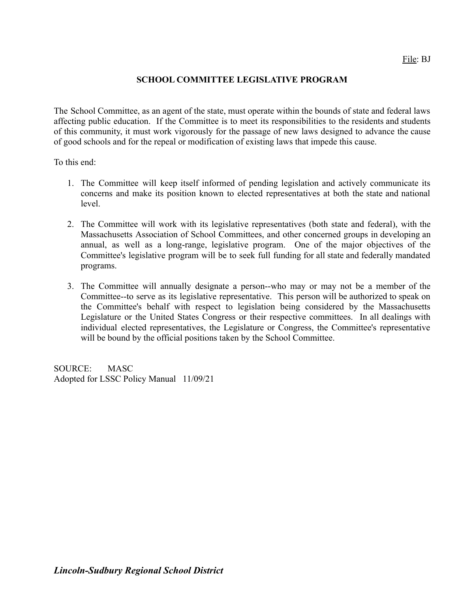## **SCHOOL COMMITTEE LEGISLATIVE PROGRAM**

The School Committee, as an agent of the state, must operate within the bounds of state and federal laws affecting public education. If the Committee is to meet its responsibilities to the residents and students of this community, it must work vigorously for the passage of new laws designed to advance the cause of good schools and for the repeal or modification of existing laws that impede this cause.

To this end:

- 1. The Committee will keep itself informed of pending legislation and actively communicate its concerns and make its position known to elected representatives at both the state and national level.
- 2. The Committee will work with its legislative representatives (both state and federal), with the Massachusetts Association of School Committees, and other concerned groups in developing an annual, as well as a long-range, legislative program. One of the major objectives of the Committee's legislative program will be to seek full funding for all state and federally mandated programs.
- 3. The Committee will annually designate a person--who may or may not be a member of the Committee--to serve as its legislative representative. This person will be authorized to speak on the Committee's behalf with respect to legislation being considered by the Massachusetts Legislature or the United States Congress or their respective committees. In all dealings with individual elected representatives, the Legislature or Congress, the Committee's representative will be bound by the official positions taken by the School Committee.